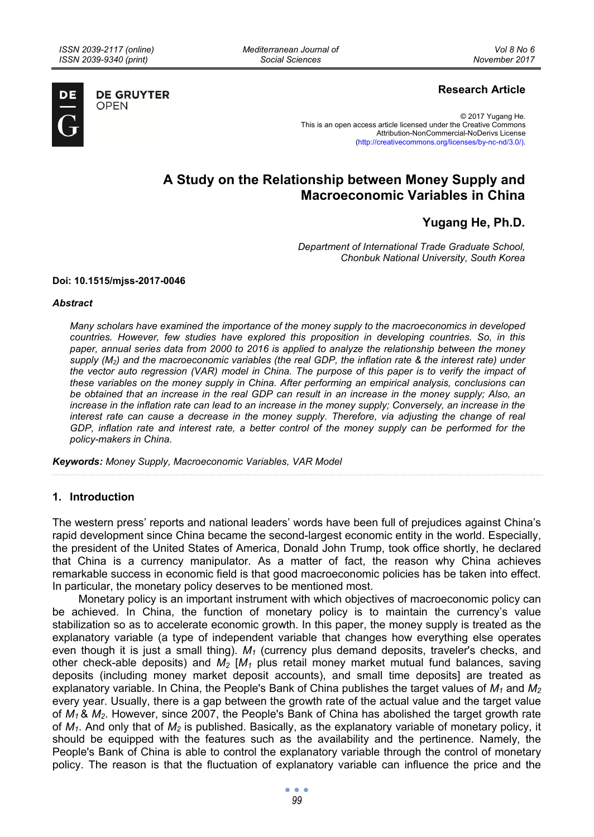*Mediterranean Journal of Social Sciences* 



**DE GRUYTER OPEN** 

## **Research Article**

© 2017 Yugang He. This is an open access article licensed under the Creative Commons Attribution-NonCommercial-NoDerivs License (http://creativecommons.org/licenses/by-nc-nd/3.0/).

# **A Study on the Relationship between Money Supply and Macroeconomic Variables in China**

## **Yugang He, Ph.D.**

*Department of International Trade Graduate School, Chonbuk National University, South Korea* 

#### **Doi: 10.1515/mjss-2017-0046**

#### *Abstract*

*Many scholars have examined the importance of the money supply to the macroeconomics in developed countries. However, few studies have explored this proposition in developing countries. So, in this paper, annual series data from 2000 to 2016 is applied to analyze the relationship between the money supply (M2) and the macroeconomic variables (the real GDP, the inflation rate & the interest rate) under the vector auto regression (VAR) model in China. The purpose of this paper is to verify the impact of these variables on the money supply in China. After performing an empirical analysis, conclusions can be obtained that an increase in the real GDP can result in an increase in the money supply; Also, an increase in the inflation rate can lead to an increase in the money supply; Conversely, an increase in the interest rate can cause a decrease in the money supply. Therefore, via adjusting the change of real GDP, inflation rate and interest rate, a better control of the money supply can be performed for the policy-makers in China.* 

*Keywords: Money Supply, Macroeconomic Variables, VAR Model* 

#### **1. Introduction**

The western press' reports and national leaders' words have been full of prejudices against China's rapid development since China became the second-largest economic entity in the world. Especially, the president of the United States of America, Donald John Trump, took office shortly, he declared that China is a currency manipulator. As a matter of fact, the reason why China achieves remarkable success in economic field is that good macroeconomic policies has be taken into effect. In particular, the monetary policy deserves to be mentioned most.

Monetary policy is an important instrument with which objectives of macroeconomic policy can be achieved. In China, the function of monetary policy is to maintain the currency's value stabilization so as to accelerate economic growth. In this paper, the money supply is treated as the explanatory variable (a type of independent variable that changes how everything else operates even though it is just a small thing).  $M_1$  (currency plus demand deposits, traveler's checks, and other check-able deposits) and  $M_2$   $[M_1$  plus retail money market mutual fund balances, saving deposits (including money market deposit accounts), and small time deposits] are treated as explanatory variable. In China, the People's Bank of China publishes the target values of *M1* and *M2* every year. Usually, there is a gap between the growth rate of the actual value and the target value of *M1* & *M2*. However, since 2007, the People's Bank of China has abolished the target growth rate of *M1*. And only that of *M2* is published. Basically, as the explanatory variable of monetary policy, it should be equipped with the features such as the availability and the pertinence. Namely, the People's Bank of China is able to control the explanatory variable through the control of monetary policy. The reason is that the fluctuation of explanatory variable can influence the price and the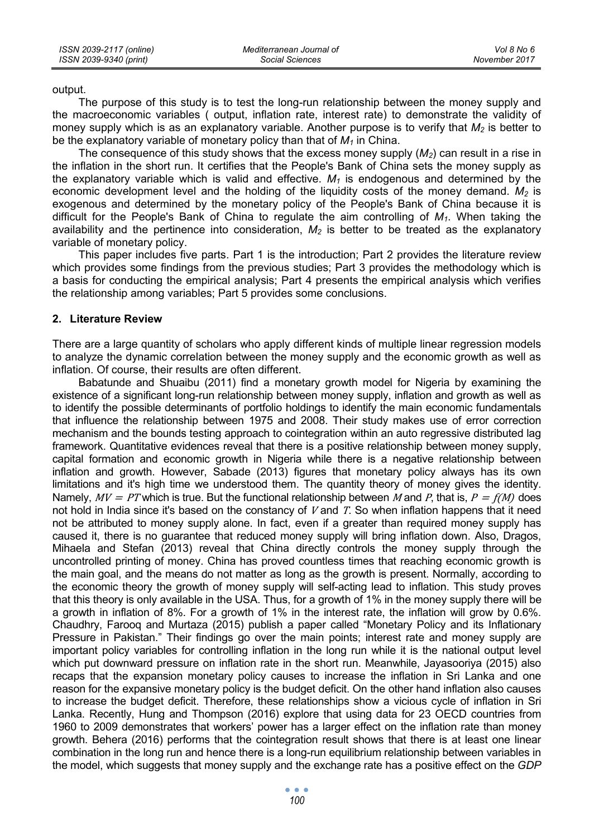output.

The purpose of this study is to test the long-run relationship between the money supply and the macroeconomic variables ( output, inflation rate, interest rate) to demonstrate the validity of money supply which is as an explanatory variable. Another purpose is to verify that  $M_2$  is better to be the explanatory variable of monetary policy than that of  $M_1$  in China.

The consequence of this study shows that the excess money supply (*M2*) can result in a rise in the inflation in the short run. It certifies that the People's Bank of China sets the money supply as the explanatory variable which is valid and effective.  $M_1$  is endogenous and determined by the economic development level and the holding of the liquidity costs of the money demand.  $M_2$  is exogenous and determined by the monetary policy of the People's Bank of China because it is difficult for the People's Bank of China to regulate the aim controlling of *M1*. When taking the availability and the pertinence into consideration,  $M_2$  is better to be treated as the explanatory variable of monetary policy.

This paper includes five parts. Part 1 is the introduction; Part 2 provides the literature review which provides some findings from the previous studies; Part 3 provides the methodology which is a basis for conducting the empirical analysis; Part 4 presents the empirical analysis which verifies the relationship among variables; Part 5 provides some conclusions.

#### **2. Literature Review**

There are a large quantity of scholars who apply different kinds of multiple linear regression models to analyze the dynamic correlation between the money supply and the economic growth as well as inflation. Of course, their results are often different.

Babatunde and Shuaibu (2011) find a monetary growth model for Nigeria by examining the existence of a significant long-run relationship between money supply, inflation and growth as well as to identify the possible determinants of portfolio holdings to identify the main economic fundamentals that influence the relationship between 1975 and 2008. Their study makes use of error correction mechanism and the bounds testing approach to cointegration within an auto regressive distributed lag framework. Quantitative evidences reveal that there is a positive relationship between money supply, capital formation and economic growth in Nigeria while there is a negative relationship between inflation and growth. However, Sabade (2013) figures that monetary policy always has its own limitations and it's high time we understood them. The quantity theory of money gives the identity. Namely,  $MV = PT$  which is true. But the functional relationship between M and P, that is,  $P = f(M)$  does not hold in India since it's based on the constancy of V and T. So when inflation happens that it need not be attributed to money supply alone. In fact, even if a greater than required money supply has caused it, there is no guarantee that reduced money supply will bring inflation down. Also, Dragos, Mihaela and Stefan (2013) reveal that China directly controls the money supply through the uncontrolled printing of money. China has proved countless times that reaching economic growth is the main goal, and the means do not matter as long as the growth is present. Normally, according to the economic theory the growth of money supply will self-acting lead to inflation. This study proves that this theory is only available in the USA. Thus, for a growth of 1% in the money supply there will be a growth in inflation of 8%. For a growth of 1% in the interest rate, the inflation will grow by 0.6%. Chaudhry, Farooq and Murtaza (2015) publish a paper called "Monetary Policy and its Inflationary Pressure in Pakistan." Their findings go over the main points; interest rate and money supply are important policy variables for controlling inflation in the long run while it is the national output level which put downward pressure on inflation rate in the short run. Meanwhile, Jayasooriya (2015) also recaps that the expansion monetary policy causes to increase the inflation in Sri Lanka and one reason for the expansive monetary policy is the budget deficit. On the other hand inflation also causes to increase the budget deficit. Therefore, these relationships show a vicious cycle of inflation in Sri Lanka. Recently, Hung and Thompson (2016) explore that using data for 23 OECD countries from 1960 to 2009 demonstrates that workers' power has a larger effect on the inflation rate than money growth. Behera (2016) performs that the cointegration result shows that there is at least one linear combination in the long run and hence there is a long-run equilibrium relationship between variables in the model, which suggests that money supply and the exchange rate has a positive effect on the *GDP*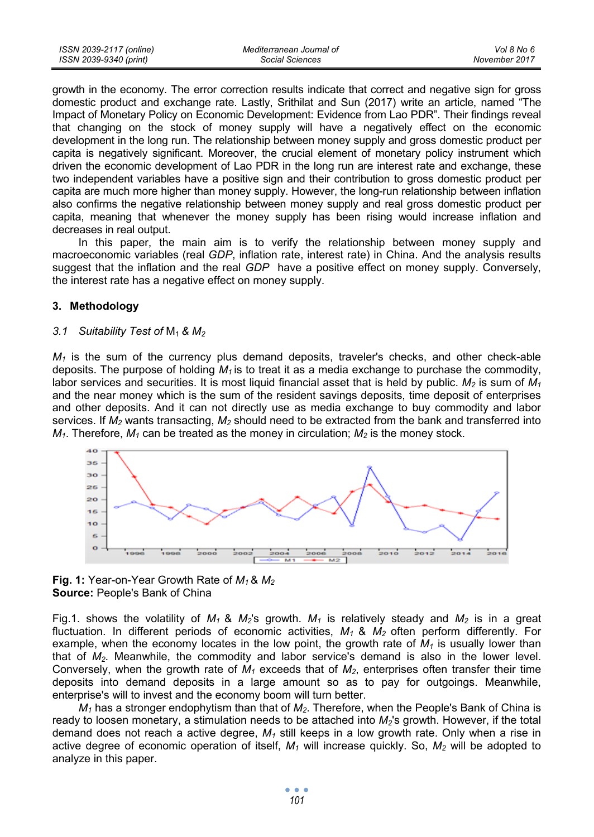| ISSN 2039-2117 (online) | Mediterranean Journal of | Vol 8 No 6    |
|-------------------------|--------------------------|---------------|
| ISSN 2039-9340 (print)  | Social Sciences          | November 2017 |

growth in the economy. The error correction results indicate that correct and negative sign for gross domestic product and exchange rate. Lastly, Srithilat and Sun (2017) write an article, named "The Impact of Monetary Policy on Economic Development: Evidence from Lao PDR". Their findings reveal that changing on the stock of money supply will have a negatively effect on the economic development in the long run. The relationship between money supply and gross domestic product per capita is negatively significant. Moreover, the crucial element of monetary policy instrument which driven the economic development of Lao PDR in the long run are interest rate and exchange, these two independent variables have a positive sign and their contribution to gross domestic product per capita are much more higher than money supply. However, the long-run relationship between inflation also confirms the negative relationship between money supply and real gross domestic product per capita, meaning that whenever the money supply has been rising would increase inflation and decreases in real output.

In this paper, the main aim is to verify the relationship between money supply and macroeconomic variables (real *GDP*, inflation rate, interest rate) in China. And the analysis results suggest that the inflation and the real *GDP* have a positive effect on money supply. Conversely, the interest rate has a negative effect on money supply.

#### **3. Methodology**

#### *3.1 Suitability Test of* M1 *& M2*

 $M_1$  is the sum of the currency plus demand deposits, traveler's checks, and other check-able deposits. The purpose of holding  $M_1$  is to treat it as a media exchange to purchase the commodity, labor services and securities. It is most liquid financial asset that is held by public.  $M_2$  is sum of  $M_1$ and the near money which is the sum of the resident savings deposits, time deposit of enterprises and other deposits. And it can not directly use as media exchange to buy commodity and labor services. If *M2* wants transacting, *M2* should need to be extracted from the bank and transferred into  $M_1$ . Therefore,  $M_1$  can be treated as the money in circulation;  $M_2$  is the money stock.





Fig.1. shows the volatility of  $M_1$  &  $M_2$ 's growth.  $M_1$  is relatively steady and  $M_2$  is in a great fluctuation. In different periods of economic activities, *M1* & *M2* often perform differently. For example, when the economy locates in the low point, the growth rate of  $M_1$  is usually lower than that of *M2*. Meanwhile, the commodity and labor service's demand is also in the lower level. Conversely, when the growth rate of  $M_1$  exceeds that of  $M_2$ , enterprises often transfer their time deposits into demand deposits in a large amount so as to pay for outgoings. Meanwhile, enterprise's will to invest and the economy boom will turn better.

*M1* has a stronger endophytism than that of *M2*. Therefore, when the People's Bank of China is ready to loosen monetary, a stimulation needs to be attached into *M2*'s growth. However, if the total demand does not reach a active degree, *M1* still keeps in a low growth rate. Only when a rise in active degree of economic operation of itself,  $M_1$  will increase quickly. So,  $M_2$  will be adopted to analyze in this paper.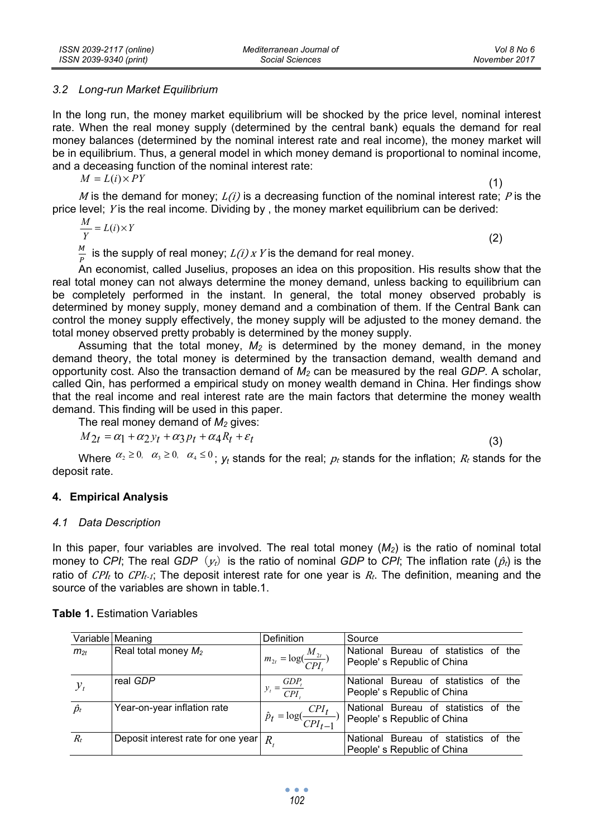#### *3.2 Long-run Market Equilibrium*

In the long run, the money market equilibrium will be shocked by the price level, nominal interest rate. When the real money supply (determined by the central bank) equals the demand for real money balances (determined by the nominal interest rate and real income), the money market will be in equilibrium. Thus, a general model in which money demand is proportional to nominal income, and a deceasing function of the nominal interest rate:

 $M = L(i) \times PY$ 

 $(1)$ 

M is the demand for money;  $L(i)$  is a decreasing function of the nominal interest rate; P is the price level; Y is the real income. Dividing by, the money market equilibrium can be derived:

$$
\frac{M}{Y} = L(i) \times Y \tag{2}
$$

 $\frac{M}{P}$  is the supply of real money;  $L(i)$  x Y is the demand for real money.

An economist, called Juselius, proposes an idea on this proposition. His results show that the real total money can not always determine the money demand, unless backing to equilibrium can be completely performed in the instant. In general, the total money observed probably is determined by money supply, money demand and a combination of them. If the Central Bank can control the money supply effectively, the money supply will be adjusted to the money demand. the total money observed pretty probably is determined by the money supply.

Assuming that the total money,  $M_2$  is determined by the money demand, in the money demand theory, the total money is determined by the transaction demand, wealth demand and opportunity cost. Also the transaction demand of *M2* can be measured by the real *GDP*. A scholar, called Qin, has performed a empirical study on money wealth demand in China. Her findings show that the real income and real interest rate are the main factors that determine the money wealth demand. This finding will be used in this paper.

The real money demand of  $M_2$  gives:

$$
M_{2t} = \alpha_1 + \alpha_2 y_t + \alpha_3 p_t + \alpha_4 R_t + \varepsilon_t
$$
\n<sup>(3)</sup>

Where  $\alpha_2 \ge 0$ ,  $\alpha_3 \ge 0$ ,  $\alpha_4 \le 0$ ;  $y_t$  stands for the real;  $p_t$  stands for the inflation;  $R_t$  stands for the deposit rate.

### **4. Empirical Analysis**

### *4.1 Data Description*

In this paper, four variables are involved. The real total money (*M2*) is the ratio of nominal total money to *CPI*; The real *GDP* ( $y_t$ ) is the ratio of nominal *GDP* to *CPI*; The inflation rate ( $\hat{p}_t$ ) is the ratio of  $CPI_t$  to  $CPI_{t-1}$ ; The deposit interest rate for one year is  $R_t$ . The definition, meaning and the source of the variables are shown in table.1.

|             | Variable Meaning                       | <b>Definition</b>                           | Source                                                             |
|-------------|----------------------------------------|---------------------------------------------|--------------------------------------------------------------------|
| $m_{2t}$    | Real total money $M_2$                 | $m_{2t} = \log(\frac{M_{2t}}{CPI})$         | National Bureau of statistics of the<br>People's Republic of China |
| $y_t$       | real GDP                               | $y_t = \frac{GDP_t}{CPI_t}$                 | National Bureau of statistics of the<br>People's Republic of China |
| $\hat{p}_t$ | Year-on-year inflation rate            | $\hat{p}_t = \log(\frac{CPI_t}{CPI_{t-1}})$ | National Bureau of statistics of the<br>People's Republic of China |
| $R_t$       | Deposit interest rate for one year $R$ |                                             | National Bureau of statistics of the<br>People's Republic of China |

**Table 1.** Estimation Variables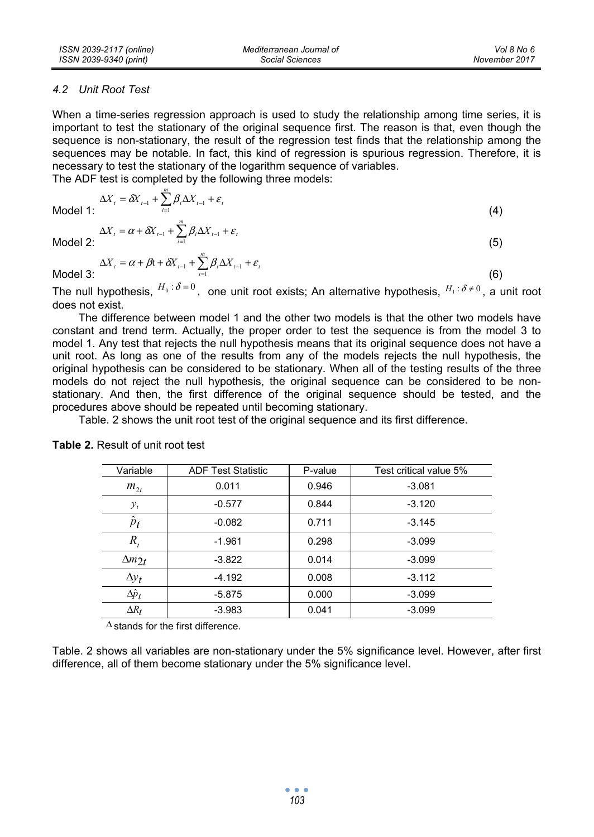### *4.2 Unit Root Test*

When a time-series regression approach is used to study the relationship among time series, it is important to test the stationary of the original sequence first. The reason is that, even though the sequence is non-stationary, the result of the regression test finds that the relationship among the sequences may be notable. In fact, this kind of regression is spurious regression. Therefore, it is necessary to test the stationary of the logarithm sequence of variables.

The ADF test is completed by the following three models:

*m*

$$
\Delta X_{t} = \delta X_{t-1} + \sum_{i=1}^{n} \beta_{i} \Delta X_{t-1} + \varepsilon_{t}
$$

Model 1: 
$$
\Delta X_{t} = \alpha + \delta X_{t-1} + \sum_{i=1}^{m} \beta_{i} \Delta X_{t-1} + \varepsilon_{t}
$$
 (4)  
Model 2: (5)

Model 2:  $\qquad \qquad$  (5)

$$
\Delta X_t = \alpha + \beta t + \delta X_{t-1} + \sum_{i=1}^{m} \beta_i \Delta X_{t-1} + \varepsilon_t
$$
\n(6)

The null hypothesis,  $^{H_0 : \delta = 0}$ , one unit root exists; An alternative hypothesis,  $^{H_1 : \delta \neq 0}$ , a unit root does not exist.

The difference between model 1 and the other two models is that the other two models have constant and trend term. Actually, the proper order to test the sequence is from the model 3 to model 1. Any test that rejects the null hypothesis means that its original sequence does not have a unit root. As long as one of the results from any of the models rejects the null hypothesis, the original hypothesis can be considered to be stationary. When all of the testing results of the three models do not reject the null hypothesis, the original sequence can be considered to be nonstationary. And then, the first difference of the original sequence should be tested, and the procedures above should be repeated until becoming stationary.

Table. 2 shows the unit root test of the original sequence and its first difference.

| Variable        | <b>ADF Test Statistic</b> | P-value | Test critical value 5% |
|-----------------|---------------------------|---------|------------------------|
| $m_{2}$         | 0.011                     | 0.946   | $-3.081$               |
| $y_t$           | $-0.577$                  | 0.844   | $-3.120$               |
| $\hat{p}_t$     | $-0.082$                  | 0.711   | $-3.145$               |
| R,              | $-1.961$                  | 0.298   | $-3.099$               |
| $\Delta m_{2t}$ | $-3.822$                  | 0.014   | $-3.099$               |
| $\Delta y_t$    | $-4.192$                  | 0.008   | $-3.112$               |
| $\Delta p_t$    | $-5.875$                  | 0.000   | $-3.099$               |
| $\Delta R_t$    | $-3.983$                  | 0.041   | $-3.099$               |

**Table 2.** Result of unit root test

 $\Delta$  stands for the first difference.

Table. 2 shows all variables are non-stationary under the 5% significance level. However, after first difference, all of them become stationary under the 5% significance level.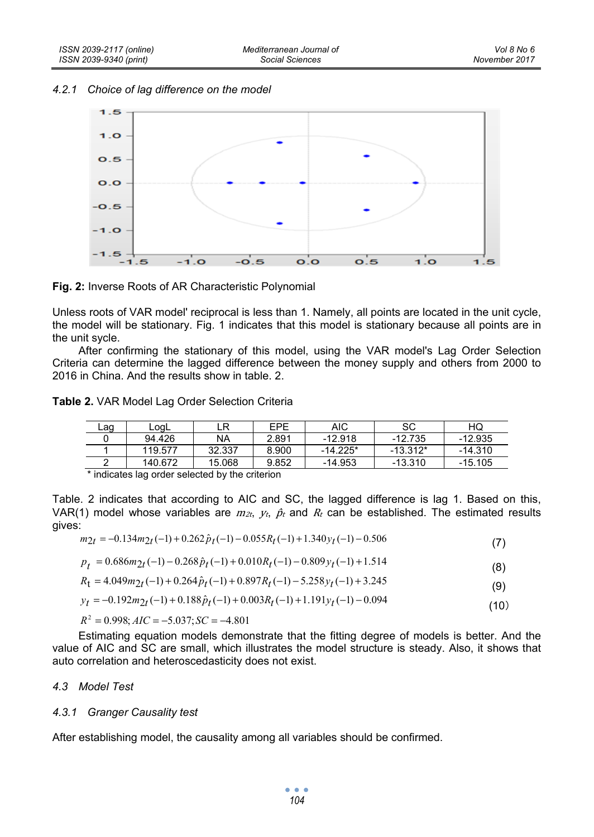*4.2.1 Choice of lag difference on the model* 



**Fig. 2:** Inverse Roots of AR Characteristic Polynomial

Unless roots of VAR model' reciprocal is less than 1. Namely, all points are located in the unit cycle, the model will be stationary. Fig. 1 indicates that this model is stationary because all points are in the unit sycle.

After confirming the stationary of this model, using the VAR model's Lag Order Selection Criteria can determine the lagged difference between the money supply and others from 2000 to 2016 in China. And the results show in table. 2.

**Table 2.** VAR Model Lag Order Selection Criteria

| Lag | LogL    | LR        | EPE   | AIC       | SC         | HQ        |
|-----|---------|-----------|-------|-----------|------------|-----------|
|     | 94.426  | <b>NA</b> | 2.891 | $-12.918$ | $-12.735$  | $-12.935$ |
|     | 119.577 | 32.337    | 8.900 | -14.225*  | $-13.312*$ | $-14.310$ |
|     | 140.672 | 15.068    | 9.852 | $-14.953$ | $-13.310$  | $-15.105$ |

\* indicates lag order selected by the criterion

Table. 2 indicates that according to AIC and SC, the lagged difference is lag 1. Based on this, VAR(1) model whose variables are  $m_{2t}$ ,  $v_t$ ,  $\hat{p}_t$  and  $R_t$  can be established. The estimated results gives:

$$
m_{2t} = -0.134m_{2t}(-1) + 0.262\hat{p}_t(-1) - 0.055R_t(-1) + 1.340y_t(-1) - 0.506
$$
\n<sup>(7)</sup>

$$
p_t = 0.686m_2t(-1) - 0.268\hat{p}_t(-1) + 0.010R_t(-1) - 0.809y_t(-1) + 1.514
$$
\n(8)

$$
R_{t} = 4.049m_{2t}(-1) + 0.264\hat{p}_{t}(-1) + 0.897R_{t}(-1) - 5.258y_{t}(-1) + 3.245
$$
\n(9)

$$
y_t = -0.192m_{2t}(-1) + 0.188\hat{p}_t(-1) + 0.003R_t(-1) + 1.191y_t(-1) - 0.094
$$
\n(10)

 $R^2 = 0.998$ ;  $AIC = -5.037$ ;  $SC = -4.801$ 

Estimating equation models demonstrate that the fitting degree of models is better. And the value of AIC and SC are small, which illustrates the model structure is steady. Also, it shows that auto correlation and heteroscedasticity does not exist.

### *4.3 Model Test*

### *4.3.1 Granger Causality test*

After establishing model, the causality among all variables should be confirmed.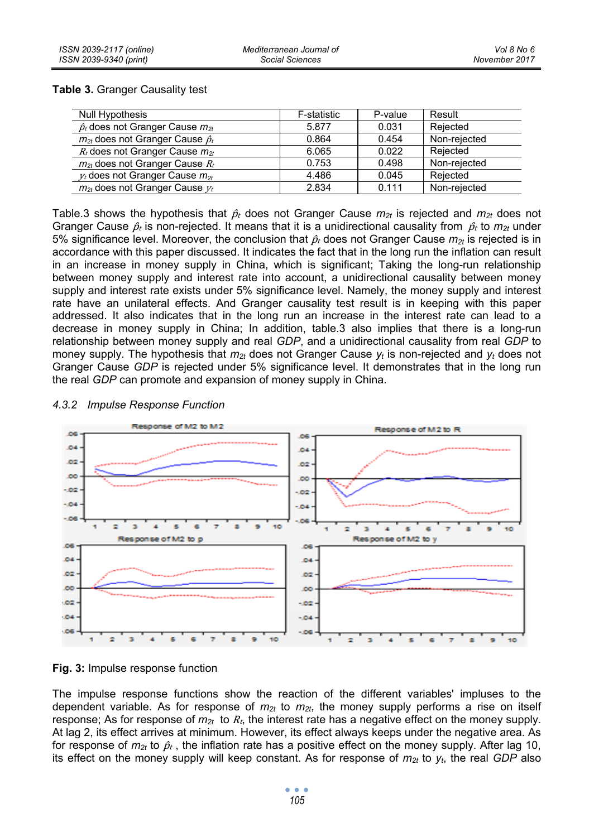### **Table 3.** Granger Causality test

| Null Hypothesis                             | F-statistic | P-value | Result       |
|---------------------------------------------|-------------|---------|--------------|
| $\hat{p}_t$ does not Granger Cause $m_{2t}$ | 5.877       | 0.031   | Reiected     |
| $m_{2t}$ does not Granger Cause $\hat{p}_t$ | 0.864       | 0.454   | Non-rejected |
| $R_t$ does not Granger Cause $m_{2t}$       | 6.065       | 0.022   | Reiected     |
| $m_{2t}$ does not Granger Cause $R_t$       | 0.753       | 0.498   | Non-rejected |
| $v_t$ does not Granger Cause $m_{2t}$       | 4.486       | 0.045   | Rejected     |
| $m_{2t}$ does not Granger Cause $v_t$       | 2.834       | 0.111   | Non-rejected |

Table.3 shows the hypothesis that  $\hat{p}_t$  does not Granger Cause  $m_{2t}$  is rejected and  $m_{2t}$  does not Granger Cause  $\hat{p}_t$  is non-rejected. It means that it is a unidirectional causality from  $\hat{p}_t$  to  $m_{2t}$  under 5% significance level. Moreover, the conclusion that  $\hat{p}_t$  does not Granger Cause  $m_{2t}$  is rejected is in accordance with this paper discussed. It indicates the fact that in the long run the inflation can result in an increase in money supply in China, which is significant; Taking the long-run relationship between money supply and interest rate into account, a unidirectional causality between money supply and interest rate exists under 5% significance level. Namely, the money supply and interest rate have an unilateral effects. And Granger causality test result is in keeping with this paper addressed. It also indicates that in the long run an increase in the interest rate can lead to a decrease in money supply in China; In addition, table.3 also implies that there is a long-run relationship between money supply and real *GDP*, and a unidirectional causality from real *GDP* to money supply. The hypothesis that *m2t* does not Granger Cause *yt* is non-rejected and *yt* does not Granger Cause *GDP* is rejected under 5% significance level. It demonstrates that in the long run the real *GDP* can promote and expansion of money supply in China.

## *4.3.2 Impulse Response Function*



**Fig. 3:** Impulse response function

The impulse response functions show the reaction of the different variables' impluses to the dependent variable. As for response of *m2t* to *m2t*, the money supply performs a rise on itself response; As for response of  $m_{2t}$  to  $R_t$ , the interest rate has a negative effect on the money supply. At lag 2, its effect arrives at minimum. However, its effect always keeps under the negative area. As for response of  $m_{2t}$  to  $\hat{p}_t$ , the inflation rate has a positive effect on the money supply. After lag 10, its effect on the money supply will keep constant. As for response of  $m_{2t}$  to  $y_t$ , the real *GDP* also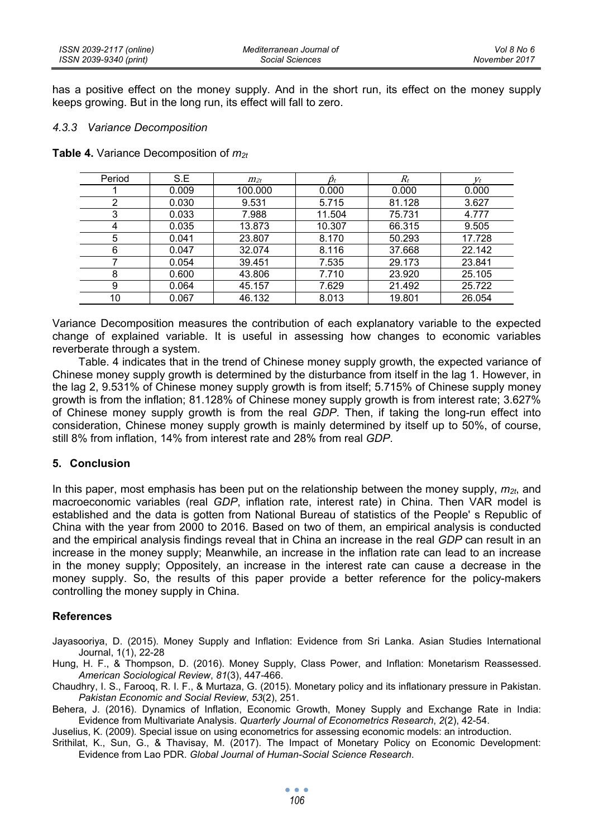has a positive effect on the money supply. And in the short run, its effect on the money supply keeps growing. But in the long run, its effect will fall to zero.

#### *4.3.3 Variance Decomposition*

|  |  | Table 4. Variance Decomposition of $m_{2t}$ |  |
|--|--|---------------------------------------------|--|
|--|--|---------------------------------------------|--|

| Period | S.E   | $m_{2t}$ | Ďr     | $R_t$  | $V_t$  |
|--------|-------|----------|--------|--------|--------|
|        | 0.009 | 100.000  | 0.000  | 0.000  | 0.000  |
| 2      | 0.030 | 9.531    | 5.715  | 81.128 | 3.627  |
| 3      | 0.033 | 7.988    | 11.504 | 75.731 | 4.777  |
| 4      | 0.035 | 13.873   | 10.307 | 66.315 | 9.505  |
| 5      | 0.041 | 23.807   | 8.170  | 50.293 | 17.728 |
| 6      | 0.047 | 32.074   | 8.116  | 37.668 | 22.142 |
|        | 0.054 | 39.451   | 7.535  | 29.173 | 23.841 |
| 8      | 0.600 | 43.806   | 7.710  | 23.920 | 25.105 |
| 9      | 0.064 | 45.157   | 7.629  | 21.492 | 25.722 |
| 10     | 0.067 | 46.132   | 8.013  | 19.801 | 26.054 |

Variance Decomposition measures the contribution of each explanatory variable to the expected change of explained variable. It is useful in assessing how changes to economic variables reverberate through a system.

Table. 4 indicates that in the trend of Chinese money supply growth, the expected variance of Chinese money supply growth is determined by the disturbance from itself in the lag 1. However, in the lag 2, 9.531% of Chinese money supply growth is from itself; 5.715% of Chinese supply money growth is from the inflation; 81.128% of Chinese money supply growth is from interest rate; 3.627% of Chinese money supply growth is from the real *GDP*. Then, if taking the long-run effect into consideration, Chinese money supply growth is mainly determined by itself up to 50%, of course, still 8% from inflation, 14% from interest rate and 28% from real *GDP*.

### **5. Conclusion**

In this paper, most emphasis has been put on the relationship between the money supply,  $m_{2t}$ , and macroeconomic variables (real *GDP*, inflation rate, interest rate) in China. Then VAR model is established and the data is gotten from National Bureau of statistics of the People' s Republic of China with the year from 2000 to 2016. Based on two of them, an empirical analysis is conducted and the empirical analysis findings reveal that in China an increase in the real *GDP* can result in an increase in the money supply; Meanwhile, an increase in the inflation rate can lead to an increase in the money supply; Oppositely, an increase in the interest rate can cause a decrease in the money supply. So, the results of this paper provide a better reference for the policy-makers controlling the money supply in China.

### **References**

Jayasooriya, D. (2015). Money Supply and Inflation: Evidence from Sri Lanka. Asian Studies International Journal, 1(1), 22-28

Hung, H. F., & Thompson, D. (2016). Money Supply, Class Power, and Inflation: Monetarism Reassessed. *American Sociological Review*, *81*(3), 447-466.

Chaudhry, I. S., Farooq, R. I. F., & Murtaza, G. (2015). Monetary policy and its inflationary pressure in Pakistan. *Pakistan Economic and Social Review*, *53*(2), 251.

Behera, J. (2016). Dynamics of Inflation, Economic Growth, Money Supply and Exchange Rate in India: Evidence from Multivariate Analysis. *Quarterly Journal of Econometrics Research*, *2*(2), 42-54.

Juselius, K. (2009). Special issue on using econometrics for assessing economic models: an introduction.

Srithilat, K., Sun, G., & Thavisay, M. (2017). The Impact of Monetary Policy on Economic Development: Evidence from Lao PDR. *Global Journal of Human-Social Science Research*.